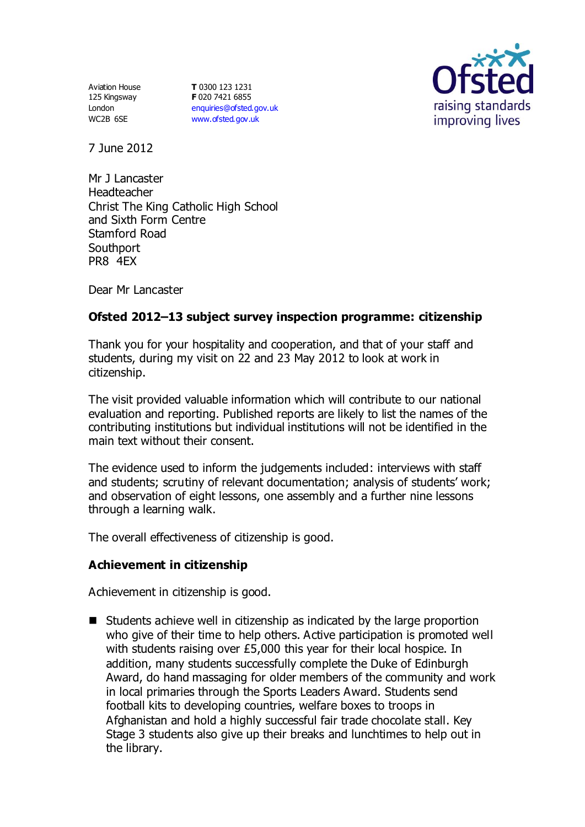Aviation House 125 Kingsway London WC2B 6SE

**T** 0300 123 1231 **F** 020 7421 6855 [enquiries@ofsted.gov.uk](mailto:enquiries@ofsted.gov.uk) [www.ofsted.gov.uk](http://www.ofsted.gov.uk/)



7 June 2012

Mr J Lancaster Headteacher Christ The King Catholic High School and Sixth Form Centre Stamford Road **Southport** PR8 4EX

Dear Mr Lancaster

# **Ofsted 2012–13 subject survey inspection programme: citizenship**

Thank you for your hospitality and cooperation, and that of your staff and students, during my visit on 22 and 23 May 2012 to look at work in citizenship.

The visit provided valuable information which will contribute to our national evaluation and reporting. Published reports are likely to list the names of the contributing institutions but individual institutions will not be identified in the main text without their consent.

The evidence used to inform the judgements included: interviews with staff and students; scrutiny of relevant documentation; analysis of students' work; and observation of eight lessons, one assembly and a further nine lessons through a learning walk.

The overall effectiveness of citizenship is good.

# **Achievement in citizenship**

Achievement in citizenship is good.

 $\blacksquare$  Students achieve well in citizenship as indicated by the large proportion who give of their time to help others. Active participation is promoted well with students raising over £5,000 this year for their local hospice. In addition, many students successfully complete the Duke of Edinburgh Award, do hand massaging for older members of the community and work in local primaries through the Sports Leaders Award. Students send football kits to developing countries, welfare boxes to troops in Afghanistan and hold a highly successful fair trade chocolate stall. Key Stage 3 students also give up their breaks and lunchtimes to help out in the library.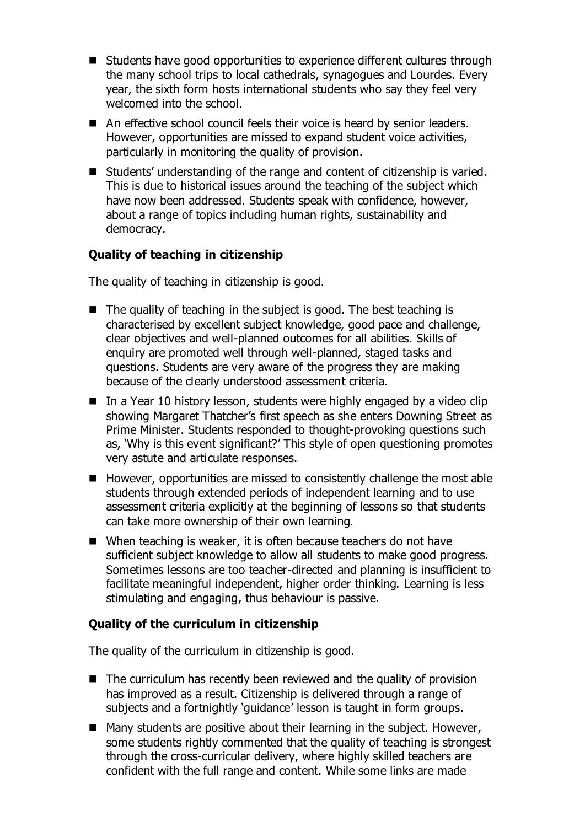- Students have good opportunities to experience different cultures through the many school trips to local cathedrals, synagogues and Lourdes. Every year, the sixth form hosts international students who say they feel very welcomed into the school.
- An effective school council feels their voice is heard by senior leaders. However, opportunities are missed to expand student voice activities, particularly in monitoring the quality of provision.
- Students' understanding of the range and content of citizenship is varied. This is due to historical issues around the teaching of the subject which have now been addressed. Students speak with confidence, however, about a range of topics including human rights, sustainability and democracy.

# **Quality of teaching in citizenship**

The quality of teaching in citizenship is good.

- $\blacksquare$  The quality of teaching in the subject is good. The best teaching is characterised by excellent subject knowledge, good pace and challenge, clear objectives and well-planned outcomes for all abilities. Skills of enquiry are promoted well through well-planned, staged tasks and questions. Students are very aware of the progress they are making because of the clearly understood assessment criteria.
- $\blacksquare$  In a Year 10 history lesson, students were highly engaged by a video clip showing Margaret Thatcher's first speech as she enters Downing Street as Prime Minister. Students responded to thought-provoking questions such as, 'Why is this event significant?' This style of open questioning promotes very astute and articulate responses.
- However, opportunities are missed to consistently challenge the most able students through extended periods of independent learning and to use assessment criteria explicitly at the beginning of lessons so that students can take more ownership of their own learning.
- When teaching is weaker, it is often because teachers do not have sufficient subject knowledge to allow all students to make good progress. Sometimes lessons are too teacher-directed and planning is insufficient to facilitate meaningful independent, higher order thinking. Learning is less stimulating and engaging, thus behaviour is passive.

## **Quality of the curriculum in citizenship**

The quality of the curriculum in citizenship is good.

- $\blacksquare$  The curriculum has recently been reviewed and the quality of provision has improved as a result. Citizenship is delivered through a range of subjects and a fortnightly 'guidance' lesson is taught in form groups.
- $\blacksquare$  Many students are positive about their learning in the subject. However, some students rightly commented that the quality of teaching is strongest through the cross-curricular delivery, where highly skilled teachers are confident with the full range and content. While some links are made